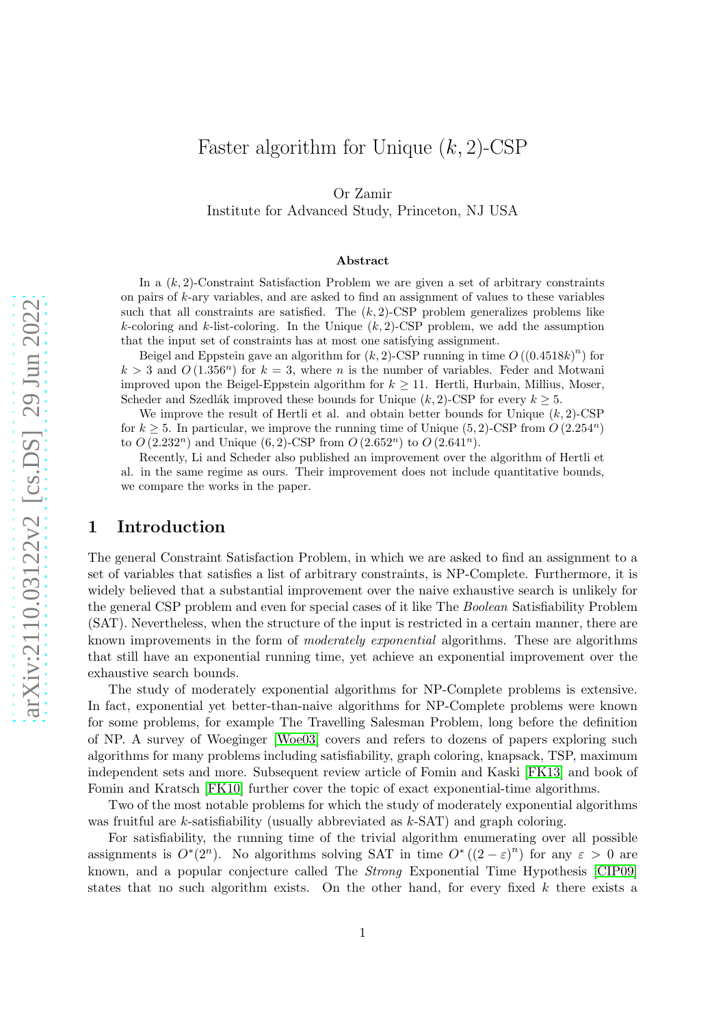# Faster algorithm for Unique  $(k, 2)$ -CSP

Or Zamir

Institute for Advanced Study, Princeton, NJ USA

#### Abstract

In a  $(k, 2)$ -Constraint Satisfaction Problem we are given a set of arbitrary constraints on pairs of k-ary variables, and are asked to find an assignment of values to these variables such that all constraints are satisfied. The  $(k, 2)$ -CSP problem generalizes problems like k-coloring and k-list-coloring. In the Unique  $(k, 2)$ -CSP problem, we add the assumption that the input set of constraints has at most one satisfying assignment.

Beigel and Eppstein gave an algorithm for  $(k, 2)$ -CSP running in time  $O((0.4518k)^n)$  for  $k > 3$  and  $O(1.356<sup>n</sup>)$  for  $k = 3$ , where *n* is the number of variables. Feder and Motwani improved upon the Beigel-Eppstein algorithm for  $k \geq 11$ . Hertli, Hurbain, Millius, Moser, Scheder and Szedlák improved these bounds for Unique  $(k, 2)$ -CSP for every  $k \geq 5$ .

We improve the result of Hertli et al. and obtain better bounds for Unique  $(k, 2)$ -CSP for  $k \geq 5$ . In particular, we improve the running time of Unique (5, 2)-CSP from  $O(2.254^n)$ to  $O(2.232^n)$  and Unique  $(6, 2)$ -CSP from  $O(2.652^n)$  to  $O(2.641^n)$ .

Recently, Li and Scheder also published an improvement over the algorithm of Hertli et al. in the same regime as ours. Their improvement does not include quantitative bounds, we compare the works in the paper.

# 1 Introduction

The general Constraint Satisfaction Problem, in which we are asked to find an assignment to a set of variables that satisfies a list of arbitrary constraints, is NP-Complete. Furthermore, it is widely believed that a substantial improvement over the naive exhaustive search is unlikely for the general CSP problem and even for special cases of it like The *Boolean* Satisfiability Problem (SAT). Nevertheless, when the structure of the input is restricted in a certain manner, there are known improvements in the form of *moderately exponential* algorithms. These are algorithms that still have an exponential running time, yet achieve an exponential improvement over the exhaustive search bounds.

The study of moderately exponential algorithms for NP-Complete problems is extensive. In fact, exponential yet better-than-naive algorithms for NP-Complete problems were known for some problems, for example The Travelling Salesman Problem, long before the definition of NP. A survey of Woeginger [\[Woe03\]](#page-13-0) covers and refers to dozens of papers exploring such algorithms for many problems including satisfiability, graph coloring, knapsack, TSP, maximum independent sets and more. Subsequent review article of Fomin and Kaski [\[FK13\]](#page-12-0) and book of Fomin and Kratsch [\[FK10\]](#page-12-1) further cover the topic of exact exponential-time algorithms.

Two of the most notable problems for which the study of moderately exponential algorithms was fruitful are k-satisfiability (usually abbreviated as k-SAT) and graph coloring.

For satisfiability, the running time of the trivial algorithm enumerating over all possible assignments is  $O^*(2^n)$ . No algorithms solving SAT in time  $O^*(2-\varepsilon)^n$  for any  $\varepsilon > 0$  are known, and a popular conjecture called The *Strong* Exponential Time Hypothesis [\[CIP09\]](#page-12-2) states that no such algorithm exists. On the other hand, for every fixed  $k$  there exists a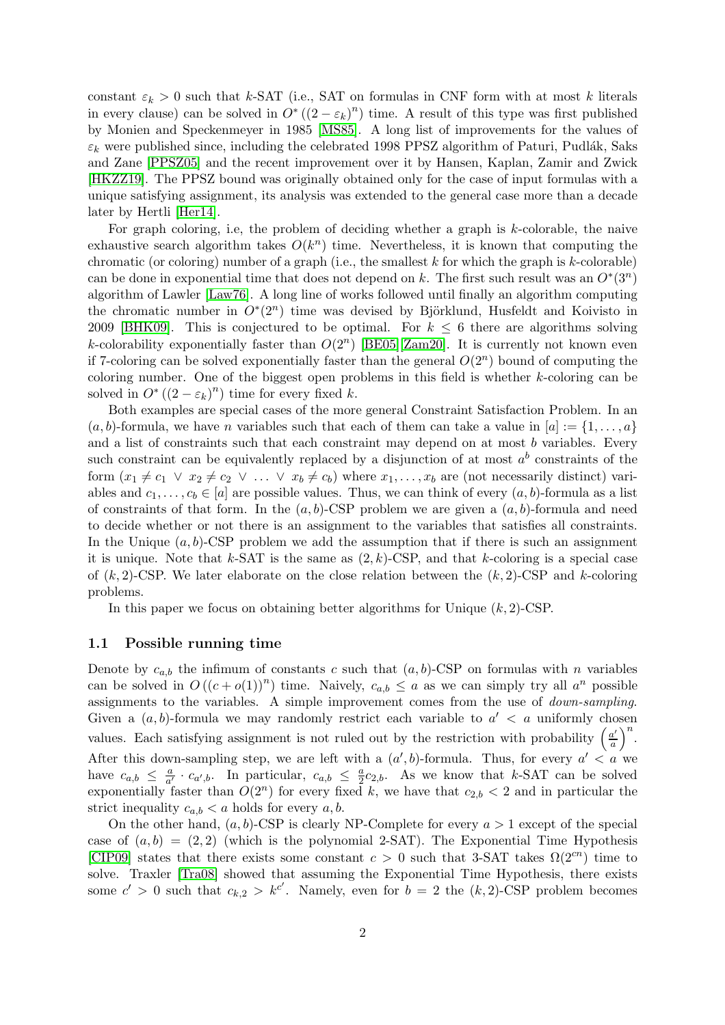constant  $\varepsilon_k > 0$  such that k-SAT (i.e., SAT on formulas in CNF form with at most k literals in every clause) can be solved in  $O^*((2 - \varepsilon_k)^n)$  time. A result of this type was first published by Monien and Speckenmeyer in 1985 [\[MS85\]](#page-12-3). A long list of improvements for the values of  $\varepsilon_k$  were published since, including the celebrated 1998 PPSZ algorithm of Paturi, Pudlák, Saks and Zane [\[PPSZ05\]](#page-13-1) and the recent improvement over it by Hansen, Kaplan, Zamir and Zwick [\[HKZZ19\]](#page-12-4). The PPSZ bound was originally obtained only for the case of input formulas with a unique satisfying assignment, its analysis was extended to the general case more than a decade later by Hertli [\[Her14\]](#page-12-5).

For graph coloring, i.e, the problem of deciding whether a graph is k-colorable, the naive exhaustive search algorithm takes  $O(k^n)$  time. Nevertheless, it is known that computing the chromatic (or coloring) number of a graph (i.e., the smallest  $k$  for which the graph is  $k$ -colorable) can be done in exponential time that does not depend on k. The first such result was an  $O<sup>*</sup>(3<sup>n</sup>)$ algorithm of Lawler [\[Law76\]](#page-12-6). A long line of works followed until finally an algorithm computing the chromatic number in  $O<sup>*</sup>(2<sup>n</sup>)$  time was devised by Björklund, Husfeldt and Koivisto in 2009 [\[BHK09\]](#page-12-7). This is conjectured to be optimal. For  $k \leq 6$  there are algorithms solving k-colorability exponentially faster than  $O(2^n)$  [\[BE05\]](#page-12-8)[\[Zam20\]](#page-13-2). It is currently not known even if 7-coloring can be solved exponentially faster than the general  $O(2^n)$  bound of computing the coloring number. One of the biggest open problems in this field is whether k-coloring can be solved in  $O^*((2 - \varepsilon_k)^n)$  time for every fixed k.

Both examples are special cases of the more general Constraint Satisfaction Problem. In an  $(a, b)$ -formula, we have *n* variables such that each of them can take a value in  $[a] := \{1, \ldots, a\}$ and a list of constraints such that each constraint may depend on at most  $b$  variables. Every such constraint can be equivalently replaced by a disjunction of at most  $a^b$  constraints of the form  $(x_1 \neq c_1 \lor x_2 \neq c_2 \lor \dots \lor x_b \neq c_b)$  where  $x_1, \dots, x_b$  are (not necessarily distinct) variables and  $c_1, \ldots, c_b \in [a]$  are possible values. Thus, we can think of every  $(a, b)$ -formula as a list of constraints of that form. In the  $(a, b)$ -CSP problem we are given a  $(a, b)$ -formula and need to decide whether or not there is an assignment to the variables that satisfies all constraints. In the Unique  $(a, b)$ -CSP problem we add the assumption that if there is such an assignment it is unique. Note that k-SAT is the same as  $(2, k)$ -CSP, and that k-coloring is a special case of  $(k, 2)$ -CSP. We later elaborate on the close relation between the  $(k, 2)$ -CSP and k-coloring problems.

In this paper we focus on obtaining better algorithms for Unique  $(k, 2)$ -CSP.

#### 1.1 Possible running time

Denote by  $c_{a,b}$  the infimum of constants c such that  $(a, b)$ -CSP on formulas with n variables can be solved in  $O((c+o(1))^n)$  time. Naively,  $c_{a,b} \le a$  as we can simply try all  $a^n$  possible assignments to the variables. A simple improvement comes from the use of *down-sampling*. Given a  $(a, b)$ -formula we may randomly restrict each variable to  $a' < a$  uniformly chosen values. Each satisfying assignment is not ruled out by the restriction with probability  $\left(\frac{a'}{a}\right)$  $\frac{a'}{a}\bigg)^n$ . After this down-sampling step, we are left with a  $(a', b)$ -formula. Thus, for every  $a' < a$  we have  $c_{a,b} \leq \frac{a}{a'} \cdot c_{a',b}$ . In particular,  $c_{a,b} \leq \frac{a}{2}c_{2,b}$ . As we know that k-SAT can be solved exponentially faster than  $O(2^n)$  for every fixed k, we have that  $c_{2,b} < 2$  and in particular the strict inequality  $c_{a,b} < a$  holds for every  $a, b$ .

On the other hand,  $(a, b)$ -CSP is clearly NP-Complete for every  $a > 1$  except of the special case of  $(a, b) = (2, 2)$  (which is the polynomial 2-SAT). The Exponential Time Hypothesis [\[CIP09\]](#page-12-2) states that there exists some constant  $c > 0$  such that 3-SAT takes  $\Omega(2^{cn})$  time to solve. Traxler [\[Tra08\]](#page-13-3) showed that assuming the Exponential Time Hypothesis, there exists some  $c' > 0$  such that  $c_{k,2} > k^{c'}$ . Namely, even for  $b = 2$  the  $(k, 2)$ -CSP problem becomes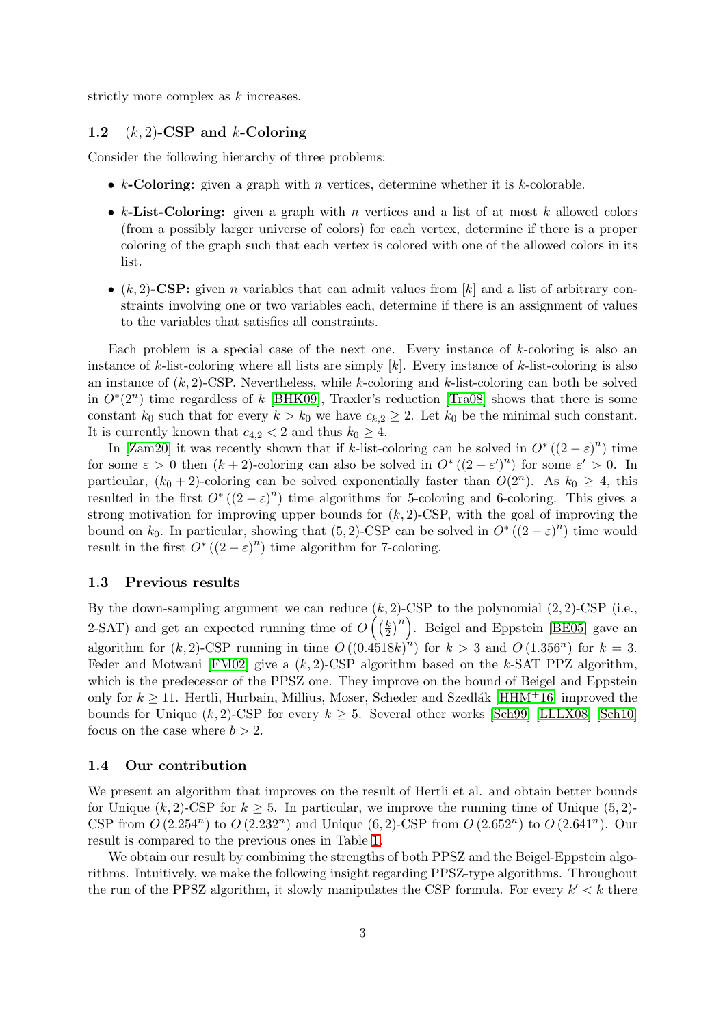strictly more complex as k increases.

#### 1.2  $(k, 2)$ -CSP and k-Coloring

Consider the following hierarchy of three problems:

- $k$ -Coloring: given a graph with n vertices, determine whether it is  $k$ -colorable.
- k-List-Coloring: given a graph with n vertices and a list of at most k allowed colors (from a possibly larger universe of colors) for each vertex, determine if there is a proper coloring of the graph such that each vertex is colored with one of the allowed colors in its list.
- $(k, 2)$ -CSP: given *n* variables that can admit values from  $[k]$  and a list of arbitrary constraints involving one or two variables each, determine if there is an assignment of values to the variables that satisfies all constraints.

Each problem is a special case of the next one. Every instance of  $k$ -coloring is also an instance of  $k$ -list-coloring where all lists are simply  $[k]$ . Every instance of  $k$ -list-coloring is also an instance of  $(k, 2)$ -CSP. Nevertheless, while k-coloring and k-list-coloring can both be solved in  $O^*(2^n)$  time regardless of k [\[BHK09\]](#page-12-7), Traxler's reduction [\[Tra08\]](#page-13-3) shows that there is some constant  $k_0$  such that for every  $k > k_0$  we have  $c_{k,2} \geq 2$ . Let  $k_0$  be the minimal such constant. It is currently known that  $c_{4,2} < 2$  and thus  $k_0 \geq 4$ .

In [\[Zam20\]](#page-13-2) it was recently shown that if k-list-coloring can be solved in  $O^*((2-\varepsilon)^n)$  time for some  $\varepsilon > 0$  then  $(k+2)$ -coloring can also be solved in  $O^*((2-\varepsilon')^n)$  for some  $\varepsilon' > 0$ . In particular,  $(k_0 + 2)$ -coloring can be solved exponentially faster than  $O(2^n)$ . As  $k_0 \geq 4$ , this resulted in the first  $O^*((2-\varepsilon)^n)$  time algorithms for 5-coloring and 6-coloring. This gives a strong motivation for improving upper bounds for  $(k, 2)$ -CSP, with the goal of improving the bound on  $k_0$ . In particular, showing that  $(5, 2)$ -CSP can be solved in  $O^*((2 - \varepsilon)^n)$  time would result in the first  $O^*((2 - \varepsilon)^n)$  time algorithm for 7-coloring.

#### 1.3 Previous results

By the down-sampling argument we can reduce  $(k, 2)$ -CSP to the polynomial  $(2, 2)$ -CSP (i.e., 2-SAT) and get an expected running time of  $O\left(\frac{k}{2}\right)$  $\left(\frac{k}{2}\right)^n$ . Beigel and Eppstein [\[BE05\]](#page-12-8) gave an algorithm for  $(k, 2)$ -CSP running in time  $O((0.4518k)^n)$  for  $k > 3$  and  $O(1.356^n)$  for  $k = 3$ . Feder and Motwani  $[FM02]$  give a  $(k, 2)$ -CSP algorithm based on the k-SAT PPZ algorithm, which is the predecessor of the PPSZ one. They improve on the bound of Beigel and Eppstein only for  $k \ge 11$ . Hertli, Hurbain, Millius, Moser, Scheder and Szedlák [\[HHM](#page-12-10)<sup>+</sup>16] improved the bounds for Unique  $(k, 2)$ -CSP for every  $k \geq 5$ . Several other works [\[Sch99\]](#page-13-4) [\[LLLX08\]](#page-12-11) [\[Sch10\]](#page-13-5) focus on the case where  $b > 2$ .

#### 1.4 Our contribution

We present an algorithm that improves on the result of Hertli et al. and obtain better bounds for Unique  $(k, 2)$ -CSP for  $k \geq 5$ . In particular, we improve the running time of Unique (5, 2)-CSP from  $O(2.254^n)$  to  $O(2.232^n)$  and Unique  $(6, 2)$ -CSP from  $O(2.652^n)$  to  $O(2.641^n)$ . Our result is compared to the previous ones in Table [1.](#page-3-0)

We obtain our result by combining the strengths of both PPSZ and the Beigel-Eppstein algorithms. Intuitively, we make the following insight regarding PPSZ-type algorithms. Throughout the run of the PPSZ algorithm, it slowly manipulates the CSP formula. For every  $k' < k$  there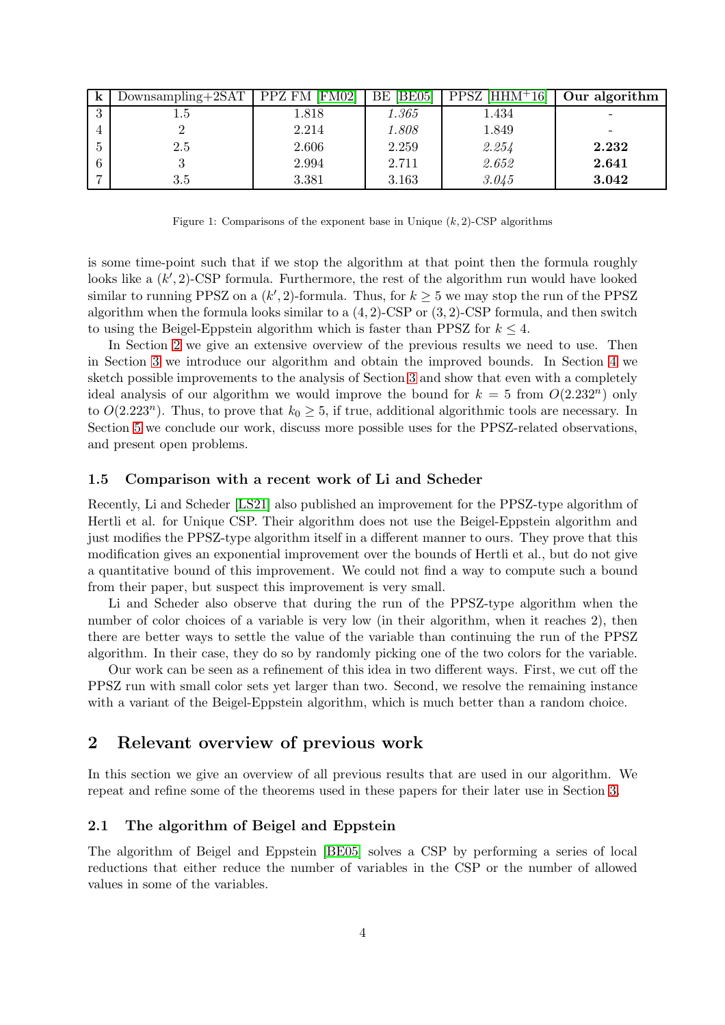<span id="page-3-0"></span>

| K                   | $Downsampling + 2SAT$ | PPZ FM [FM02] | BE05 <br>BE | $PPSZ$ [HHM <sup>+</sup> 16] | Our algorithm |
|---------------------|-----------------------|---------------|-------------|------------------------------|---------------|
| $\Omega$<br>$\cdot$ | 1.5                   | 1.818         | 1.365       | 1.434                        |               |
| 4                   |                       | 2.214         | 1.808       | 1.849                        |               |
| $\ddot{\cdot}$      | 2.5                   | 2.606         | 2.259       | 2.254                        | 2.232         |
| 6                   | IJ                    | 2.994         | 2.711       | 2.652                        | 2.641         |
|                     | 3.5                   | 3.381         | 3.163       | 3.045                        | 3.042         |

Figure 1: Comparisons of the exponent base in Unique  $(k, 2)$ -CSP algorithms

is some time-point such that if we stop the algorithm at that point then the formula roughly looks like a  $(k', 2)$ -CSP formula. Furthermore, the rest of the algorithm run would have looked similar to running PPSZ on a  $(k', 2)$ -formula. Thus, for  $k \geq 5$  we may stop the run of the PPSZ algorithm when the formula looks similar to a  $(4, 2)$ -CSP or  $(3, 2)$ -CSP formula, and then switch to using the Beigel-Eppstein algorithm which is faster than PPSZ for  $k \leq 4$ .

In Section [2](#page-3-1) we give an extensive overview of the previous results we need to use. Then in Section [3](#page-7-0) we introduce our algorithm and obtain the improved bounds. In Section [4](#page-11-0) we sketch possible improvements to the analysis of Section [3](#page-7-0) and show that even with a completely ideal analysis of our algorithm we would improve the bound for  $k = 5$  from  $O(2.232^n)$  only to  $O(2.223^n)$ . Thus, to prove that  $k_0 \geq 5$ , if true, additional algorithmic tools are necessary. In Section [5](#page-11-1) we conclude our work, discuss more possible uses for the PPSZ-related observations, and present open problems.

#### 1.5 Comparison with a recent work of Li and Scheder

Recently, Li and Scheder [\[LS21\]](#page-12-12) also published an improvement for the PPSZ-type algorithm of Hertli et al. for Unique CSP. Their algorithm does not use the Beigel-Eppstein algorithm and just modifies the PPSZ-type algorithm itself in a different manner to ours. They prove that this modification gives an exponential improvement over the bounds of Hertli et al., but do not give a quantitative bound of this improvement. We could not find a way to compute such a bound from their paper, but suspect this improvement is very small.

Li and Scheder also observe that during the run of the PPSZ-type algorithm when the number of color choices of a variable is very low (in their algorithm, when it reaches 2), then there are better ways to settle the value of the variable than continuing the run of the PPSZ algorithm. In their case, they do so by randomly picking one of the two colors for the variable.

Our work can be seen as a refinement of this idea in two different ways. First, we cut off the PPSZ run with small color sets yet larger than two. Second, we resolve the remaining instance with a variant of the Beigel-Eppstein algorithm, which is much better than a random choice.

# <span id="page-3-1"></span>2 Relevant overview of previous work

In this section we give an overview of all previous results that are used in our algorithm. We repeat and refine some of the theorems used in these papers for their later use in Section [3.](#page-7-0)

#### <span id="page-3-2"></span>2.1 The algorithm of Beigel and Eppstein

The algorithm of Beigel and Eppstein [\[BE05\]](#page-12-8) solves a CSP by performing a series of local reductions that either reduce the number of variables in the CSP or the number of allowed values in some of the variables.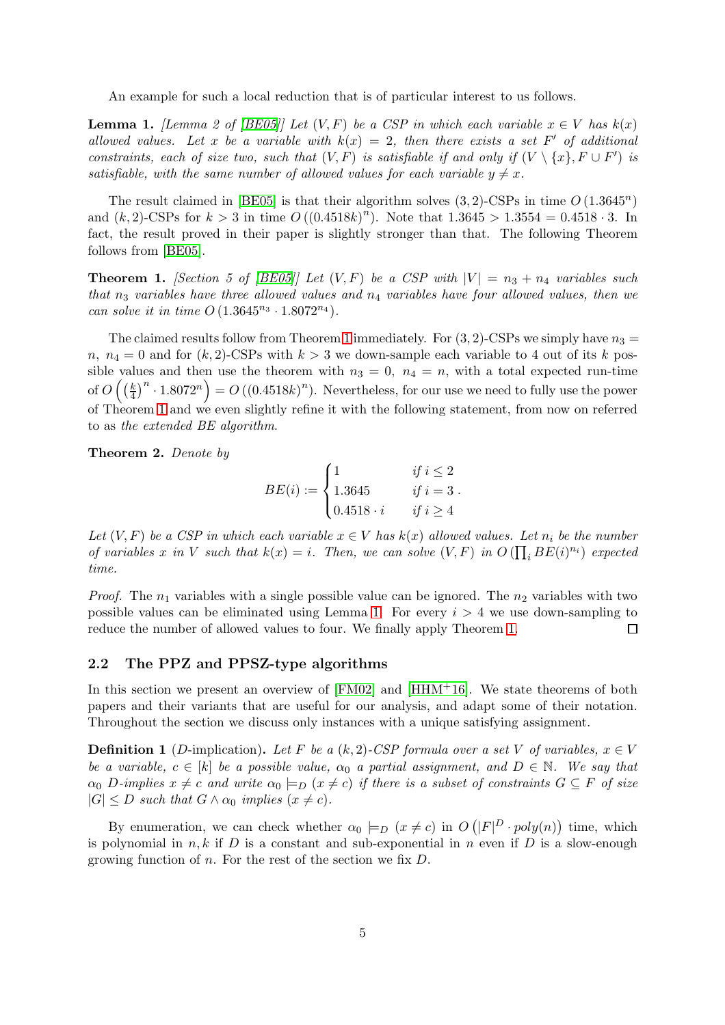An example for such a local reduction that is of particular interest to us follows.

<span id="page-4-1"></span>**Lemma 1.** *[Lemma 2 of [\[BE05\]](#page-12-8)] Let*  $(V, F)$  *be a CSP in which each variable*  $x \in V$  *has*  $k(x)$ allowed values. Let x be a variable with  $k(x) = 2$ , then there exists a set F' of additional *constraints, each of size two, such that*  $(V, F)$  *is satisfiable if and only if*  $(V \setminus \{x\}, F \cup F')$  *is satisfiable, with the same number of allowed values for each variable*  $y \neq x$ *.* 

The result claimed in [\[BE05\]](#page-12-8) is that their algorithm solves  $(3, 2)$ -CSPs in time  $O(1.3645^n)$ and  $(k, 2)$ -CSPs for  $k > 3$  in time  $O((0.4518k)^n)$ . Note that  $1.3645 > 1.3554 = 0.4518 \cdot 3$ . In fact, the result proved in their paper is slightly stronger than that. The following Theorem follows from [\[BE05\]](#page-12-8).

<span id="page-4-0"></span>**Theorem 1.** *[Section 5 of [\[BE05\]](#page-12-8)] Let*  $(V, F)$  *be a CSP with*  $|V| = n_3 + n_4$  *variables such that*  $n_3$  *variables have three allowed values and*  $n_4$  *variables have four allowed values, then we can solve it in time*  $O(1.3645^{n_3} \cdot 1.8072^{n_4}).$ 

The claimed results follow from Theorem [1](#page-4-0) immediately. For  $(3, 2)$ -CSPs we simply have  $n_3 =$  $n, n_4 = 0$  and for  $(k, 2)$ -CSPs with  $k > 3$  we down-sample each variable to 4 out of its k possible values and then use the theorem with  $n_3 = 0$ ,  $n_4 = n$ , with a total expected run-time of  $O\left(\left(\frac{k}{4}\right)\right)$  $\left(\frac{k}{4}\right)^n \cdot 1.8072^n$  =  $O\left((0.4518k)^n\right)$ . Nevertheless, for our use we need to fully use the power of Theorem [1](#page-4-0) and we even slightly refine it with the following statement, from now on referred to as *the extended BE algorithm*.

Theorem 2. *Denote by*

$$
BE(i) := \begin{cases} 1 & \text{if } i \leq 2 \\ 1.3645 & \text{if } i = 3 \\ 0.4518 \cdot i & \text{if } i \geq 4 \end{cases}
$$

*Let*  $(V, F)$  *be a CSP in which each variable*  $x \in V$  *has*  $k(x)$  *allowed values. Let*  $n_i$  *be the number of variables* x in V such that  $k(x) = i$ . Then, we can solve  $(V, F)$  in  $O(\prod_i BE(i)^{n_i})$  expected *time.*

*Proof.* The  $n_1$  variables with a single possible value can be ignored. The  $n_2$  variables with two possible values can be eliminated using Lemma [1.](#page-4-1) For every  $i > 4$  we use down-sampling to reduce the number of allowed values to four. We finally apply Theorem [1.](#page-4-0)  $\Box$ 

#### <span id="page-4-2"></span>2.2 The PPZ and PPSZ-type algorithms

In this section we present an overview of  $[FM02]$  and  $[HHM<sup>+</sup>16]$ . We state theorems of both papers and their variants that are useful for our analysis, and adapt some of their notation. Throughout the section we discuss only instances with a unique satisfying assignment.

**Definition 1** (D-implication). Let F be a  $(k, 2)$ -CSP formula over a set V of variables,  $x \in V$ *be a variable,*  $c \in [k]$  *be a possible value,*  $\alpha_0$  *a partial assignment, and*  $D \in \mathbb{N}$ *. We say that*  $\alpha_0$  D-implies  $x \neq c$  and write  $\alpha_0 \models_D (x \neq c)$  if there is a subset of constraints  $G \subseteq F$  of size  $|G| \leq D$  *such that*  $G \wedge \alpha_0$  *implies*  $(x \neq c)$ *.* 

By enumeration, we can check whether  $\alpha_0 \models_D (x \neq c)$  in  $O(|F|^D \cdot poly(n))$  time, which is polynomial in  $n, k$  if D is a constant and sub-exponential in n even if D is a slow-enough growing function of n. For the rest of the section we fix  $D$ .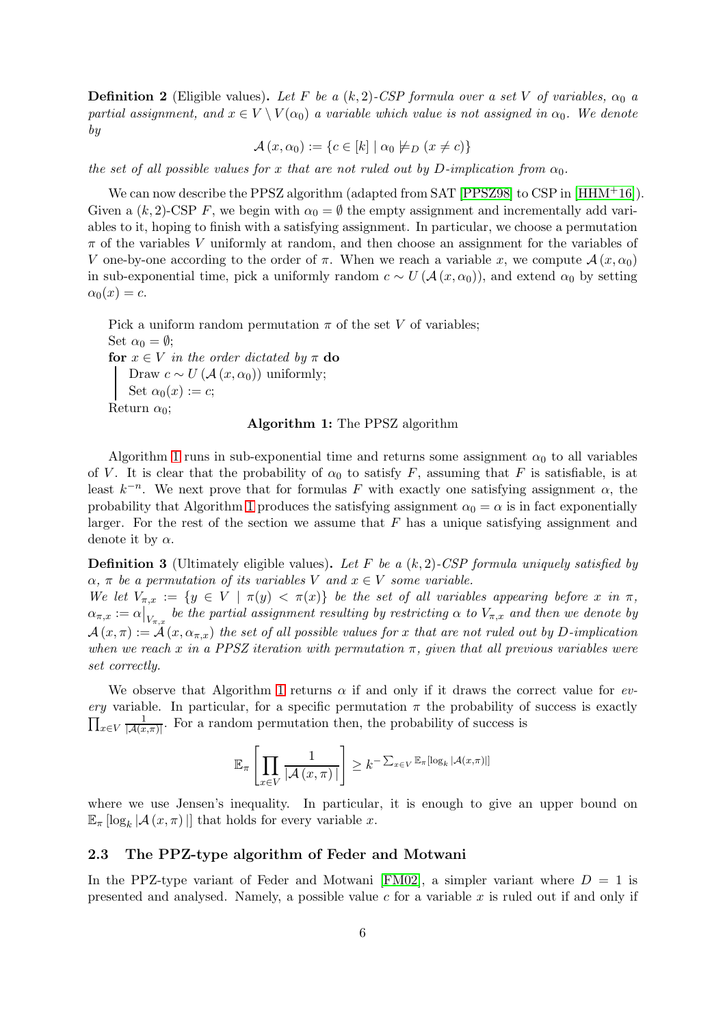**Definition 2** (Eligible values). Let F be a  $(k, 2)$ -CSP formula over a set V of variables,  $\alpha_0$  a *partial assignment, and*  $x \in V \setminus V(\alpha_0)$  *a variable which value is not assigned in*  $\alpha_0$ . We denote *by*

 $\mathcal{A} (x, \alpha_0) := \{c \in [k] \mid \alpha_0 \not\models D (x \neq c)\}\$ 

*the set of all possible values for* x *that are not ruled out by* D-implication from  $\alpha_0$ .

We can now describe the PPSZ algorithm (adapted from SAT [\[PPSZ98\]](#page-13-6) to CSP in [\[HHM](#page-12-10)<sup>+</sup>16]). Given a  $(k, 2)$ -CSP F, we begin with  $\alpha_0 = \emptyset$  the empty assignment and incrementally add variables to it, hoping to finish with a satisfying assignment. In particular, we choose a permutation  $\pi$  of the variables V uniformly at random, and then choose an assignment for the variables of V one-by-one according to the order of  $\pi$ . When we reach a variable x, we compute  $\mathcal{A}(x, \alpha_0)$ in sub-exponential time, pick a uniformly random  $c \sim U(\mathcal{A}(x, \alpha_0))$ , and extend  $\alpha_0$  by setting  $\alpha_0(x) = c.$ 

<span id="page-5-0"></span>Pick a uniform random permutation  $\pi$  of the set V of variables; Set  $\alpha_0 = \emptyset$ ; for  $x \in V$  *in the order dictated by*  $\pi$  do Draw  $c \sim U(\mathcal{A}(x, \alpha_0))$  uniformly; Set  $\alpha_0(x) := c;$ Return  $\alpha_0$ ;

#### Algorithm 1: The PPSZ algorithm

Algorithm [1](#page-5-0) runs in sub-exponential time and returns some assignment  $\alpha_0$  to all variables of V. It is clear that the probability of  $\alpha_0$  to satisfy F, assuming that F is satisfiable, is at least  $k^{-n}$ . We next prove that for formulas F with exactly one satisfying assignment  $\alpha$ , the probability that Algorithm [1](#page-5-0) produces the satisfying assignment  $\alpha_0 = \alpha$  is in fact exponentially larger. For the rest of the section we assume that  $F$  has a unique satisfying assignment and denote it by  $\alpha$ .

Definition 3 (Ultimately eligible values). *Let* F *be a* (k, 2)*-CSP formula uniquely satisfied by*  $\alpha$ ,  $\pi$  *be a permutation of its variables* V *and*  $x \in V$  *some variable.* 

*We let*  $V_{\pi,x} := \{y \in V \mid \pi(y) < \pi(x)\}$  *be the set of all variables appearing before* x *in*  $\pi$ ,  $\alpha_{\pi,x}:=\alpha\big|_{V_{\pi,x}}$  be the partial assignment resulting by restricting  $\alpha$  to  $V_{\pi,x}$  and then we denote by  $A(x, \pi) := A(x, \alpha_{\pi,x})$  the set of all possible values for x that are not ruled out by D-implication *when we reach* x *in a PPSZ iteration with permutation* π*, given that all previous variables were set correctly.*

We observe that Algorithm [1](#page-5-0) returns  $\alpha$  if and only if it draws the correct value for  $ev$ *ery* variable. In particular, for a specific permutation  $\pi$  the probability of success is exactly  $\prod_{x\in V}\frac{1}{|A(x)|}$  $\frac{1}{|A(x,\pi)|}$ . For a random permutation then, the probability of success is

$$
\mathbb{E}_{\pi}\left[\prod_{x\in V}\frac{1}{|\mathcal{A}(x,\pi)|}\right] \geq k^{-\sum_{x\in V}\mathbb{E}_{\pi}\left[\log_{k}|\mathcal{A}(x,\pi)\right]}
$$

where we use Jensen's inequality. In particular, it is enough to give an upper bound on  $\mathbb{E}_{\pi} [\log_k |\mathcal{A} (x, \pi)|]$  that holds for every variable x.

#### 2.3 The PPZ-type algorithm of Feder and Motwani

In the PPZ-type variant of Feder and Motwani [\[FM02\]](#page-12-9), a simpler variant where  $D = 1$  is presented and analysed. Namely, a possible value c for a variable  $x$  is ruled out if and only if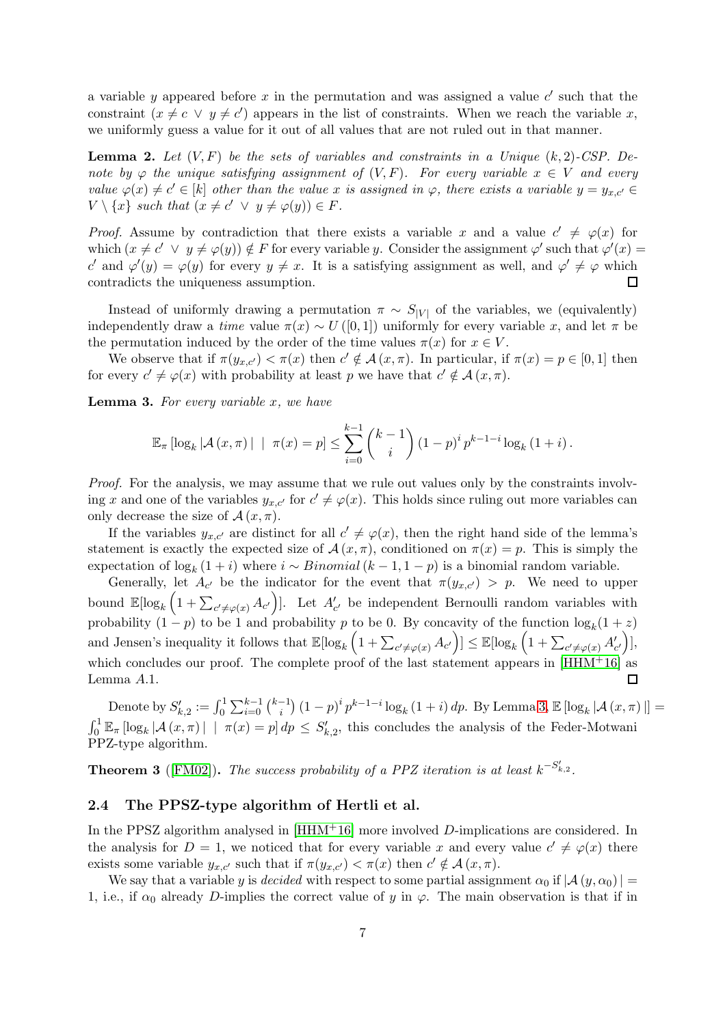a variable y appeared before x in the permutation and was assigned a value  $c'$  such that the constraint  $(x \neq c \lor y \neq c')$  appears in the list of constraints. When we reach the variable x, we uniformly guess a value for it out of all values that are not ruled out in that manner.

Lemma 2. *Let* (V, F) *be the sets of variables and constraints in a Unique* (k, 2)*-CSP. Denote by*  $\varphi$  *the unique satisfying assignment of*  $(V, F)$ *. For every variable*  $x \in V$  *and every value*  $\varphi(x) \neq c' \in [k]$  *other than the value* x *is assigned in*  $\varphi$ *, there exists a variable*  $y = y_{x,c'} \in$  $V \setminus \{x\}$  such that  $(x \neq c' \lor y \neq \varphi(y)) \in F$ .

*Proof.* Assume by contradiction that there exists a variable x and a value  $c' \neq \varphi(x)$  for which  $(x \neq c' \lor y \neq \varphi(y)) \notin F$  for every variable y. Consider the assignment  $\varphi'$  such that  $\varphi'(x) =$ c' and  $\varphi'(y) = \varphi(y)$  for every  $y \neq x$ . It is a satisfying assignment as well, and  $\varphi' \neq \varphi$  which contradicts the uniqueness assumption.  $\Box$ 

Instead of uniformly drawing a permutation  $\pi \sim S_{|V|}$  of the variables, we (equivalently) independently draw a *time* value  $\pi(x) \sim U([0,1])$  uniformly for every variable x, and let  $\pi$  be the permutation induced by the order of the time values  $\pi(x)$  for  $x \in V$ .

We observe that if  $\pi(y_{x,c'}) < \pi(x)$  then  $c' \notin \mathcal{A}(x, \pi)$ . In particular, if  $\pi(x) = p \in [0, 1]$  then for every  $c' \neq \varphi(x)$  with probability at least p we have that  $c' \notin \mathcal{A}(x, \pi)$ .

<span id="page-6-0"></span>Lemma 3. *For every variable* x*, we have*

$$
\mathbb{E}_{\pi} [\log_k |\mathcal{A} (x, \pi)| \mid \pi(x) = p] \leq \sum_{i=0}^{k-1} {k-1 \choose i} (1-p)^i p^{k-1-i} \log_k (1+i).
$$

*Proof.* For the analysis, we may assume that we rule out values only by the constraints involving x and one of the variables  $y_{x,c'}$  for  $c' \neq \varphi(x)$ . This holds since ruling out more variables can only decrease the size of  $\mathcal{A}(x, \pi)$ .

If the variables  $y_{x,c'}$  are distinct for all  $c' \neq \varphi(x)$ , then the right hand side of the lemma's statement is exactly the expected size of  $\mathcal{A}(x, \pi)$ , conditioned on  $\pi(x) = p$ . This is simply the expectation of  $\log_k(1+i)$  where  $i \sim Binomial(k-1, 1-p)$  is a binomial random variable.

Generally, let  $A_{c'}$  be the indicator for the event that  $\pi(y_{x,c'}) > p$ . We need to upper bound  $\mathbb{E}[\log_k(1+\sum_{c'\neq \varphi(x)}A_{c'})]$ . Let  $A'_{c'}$  be independent Bernoulli random variables with probability  $(1-p)$  to be 1 and probability p to be 0. By concavity of the function  $\log_k(1+z)$ and Jensen's inequality it follows that  $\mathbb{E}[\log_k(1+\sum_{c'\neq \varphi(x)} A_{c'})] \leq \mathbb{E}[\log_k(1+\sum_{c'\neq \varphi(x)} A'_{c'})],$ which concludes our proof. The complete proof of the last statement appears in [\[HHM](#page-12-10)+16] as Lemma A.1. П

Denote by  $S'_{k,2} := \int_0^1 \sum_{i=0}^{k-1} {k-1 \choose i}$  $\int_{i}^{-1} (1-p)^{i} p^{k-1-i} \log_k(1+i) dp$ . By Lemma [3,](#page-6-0)  $\mathbb{E} [\log_k |\mathcal{A} (x, \pi)|] =$  $\int_0^1 \mathbb{E}_{\pi} [\log_k |\mathcal{A}(x,\pi)| \mid \pi(x) = p] dp \le S'_{k,2}$ , this concludes the analysis of the Feder-Motwani PPZ-type algorithm.

<span id="page-6-1"></span>**Theorem 3** ([\[FM02\]](#page-12-9)). The success probability of a PPZ iteration is at least  $k^{-S'_{k,2}}$ .

#### 2.4 The PPSZ-type algorithm of Hertli et al.

In the PPSZ algorithm analysed in  $[HHM+16]$  more involved D-implications are considered. In the analysis for  $D = 1$ , we noticed that for every variable x and every value  $c' \neq \varphi(x)$  there exists some variable  $y_{x,c'}$  such that if  $\pi(y_{x,c'}) < \pi(x)$  then  $c' \notin \mathcal{A}(x, \pi)$ .

We say that a variable y is *decided* with respect to some partial assignment  $\alpha_0$  if  $|\mathcal{A}(y, \alpha_0)| =$ 1, i.e., if  $\alpha_0$  already D-implies the correct value of y in  $\varphi$ . The main observation is that if in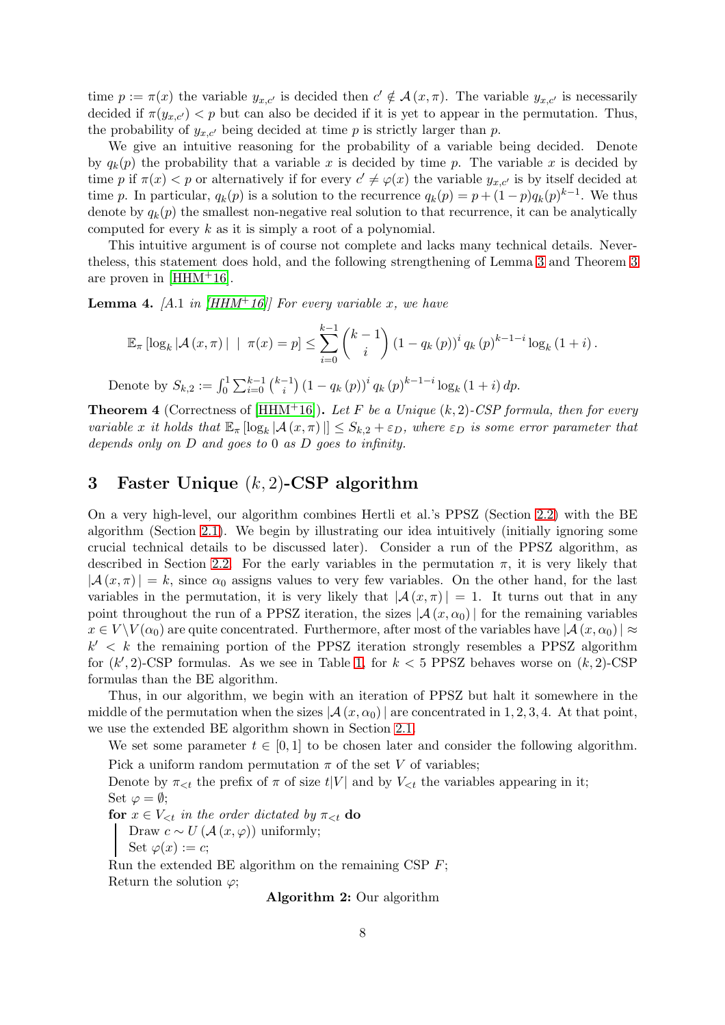time  $p := \pi(x)$  the variable  $y_{x,c'}$  is decided then  $c' \notin \mathcal{A}(x, \pi)$ . The variable  $y_{x,c'}$  is necessarily decided if  $\pi(y_{x,c'}) < p$  but can also be decided if it is yet to appear in the permutation. Thus, the probability of  $y_{x,c'}$  being decided at time p is strictly larger than p.

We give an intuitive reasoning for the probability of a variable being decided. Denote by  $q_k(p)$  the probability that a variable x is decided by time p. The variable x is decided by time p if  $\pi(x) < p$  or alternatively if for every  $c' \neq \varphi(x)$  the variable  $y_{x,c'}$  is by itself decided at time p. In particular,  $q_k(p)$  is a solution to the recurrence  $q_k(p) = p + (1-p)q_k(p)^{k-1}$ . We thus denote by  $q_k(p)$  the smallest non-negative real solution to that recurrence, it can be analytically computed for every  $k$  as it is simply a root of a polynomial.

This intuitive argument is of course not complete and lacks many technical details. Nevertheless, this statement does hold, and the following strengthening of Lemma [3](#page-6-0) and Theorem [3](#page-6-1) are proven in  $[HHM^+16]$ .

<span id="page-7-2"></span>**Lemma 4.** [A.1 *in* [\[HHM](#page-12-10)<sup>+</sup>16]] For every variable x, we have

$$
\mathbb{E}_{\pi} \left[ \log_{k} |\mathcal{A} (x, \pi)| \mid \pi(x) = p \right] \leq \sum_{i=0}^{k-1} {k-1 \choose i} (1 - q_{k}(p))^{i} q_{k}(p)^{k-1-i} \log_{k} (1+i).
$$

Denote by  $S_{k,2} := \int_0^1 \sum_{i=0}^{k-1} {k-1 \choose i}$  $\int_{i}^{-1} (1 - q_k(p))^{i} q_k(p)^{k-1-i} \log_k(1+i) dp.$ 

Theorem 4 (Correctness of [\[HHM](#page-12-10)+16]). *Let* F *be a Unique* (k, 2)*-CSP formula, then for every variable* x *it holds that*  $\mathbb{E}_{\pi} [\log_k |\mathcal{A}(x, \pi)|] \leq S_{k,2} + \varepsilon_D$ , where  $\varepsilon_D$  *is some error parameter that depends only on* D *and goes to* 0 *as* D *goes to infinity.*

# <span id="page-7-0"></span>3 Faster Unique  $(k, 2)$ -CSP algorithm

On a very high-level, our algorithm combines Hertli et al.'s PPSZ (Section [2.2\)](#page-4-2) with the BE algorithm (Section [2.1\)](#page-3-2). We begin by illustrating our idea intuitively (initially ignoring some crucial technical details to be discussed later). Consider a run of the PPSZ algorithm, as described in Section [2.2.](#page-4-2) For the early variables in the permutation  $\pi$ , it is very likely that  $|\mathcal{A}(x,\pi)| = k$ , since  $\alpha_0$  assigns values to very few variables. On the other hand, for the last variables in the permutation, it is very likely that  $|\mathcal{A}(x,\pi)| = 1$ . It turns out that in any point throughout the run of a PPSZ iteration, the sizes  $|\mathcal{A}(x,\alpha_0)|$  for the remaining variables  $x \in V \setminus V(\alpha_0)$  are quite concentrated. Furthermore, after most of the variables have  $|\mathcal{A}(x, \alpha_0)| \approx$  $k' < k$  the remaining portion of the PPSZ iteration strongly resembles a PPSZ algorithm for  $(k', 2)$ -CSP formulas. As we see in Table [1,](#page-3-0) for  $k < 5$  PPSZ behaves worse on  $(k, 2)$ -CSP formulas than the BE algorithm.

Thus, in our algorithm, we begin with an iteration of PPSZ but halt it somewhere in the middle of the permutation when the sizes  $\mathcal{A}(x, \alpha_0)$  are concentrated in 1, 2, 3, 4. At that point, we use the extended BE algorithm shown in Section [2.1.](#page-3-2)

<span id="page-7-1"></span>We set some parameter  $t \in [0, 1]$  to be chosen later and consider the following algorithm.

Pick a uniform random permutation  $\pi$  of the set V of variables; Denote by  $\pi_{\leq t}$  the prefix of  $\pi$  of size  $t|V|$  and by  $V_{\leq t}$  the variables appearing in it; Set  $\varphi = \emptyset$ ;

for  $x \in V_{\leq t}$  *in the order dictated by*  $\pi_{\leq t}$  do Draw  $c \sim U(\mathcal{A}(x, \varphi))$  uniformly; Set  $\varphi(x) := c$ ;

Run the extended BE algorithm on the remaining CSP  $F$ ; Return the solution  $\varphi$ ;

Algorithm 2: Our algorithm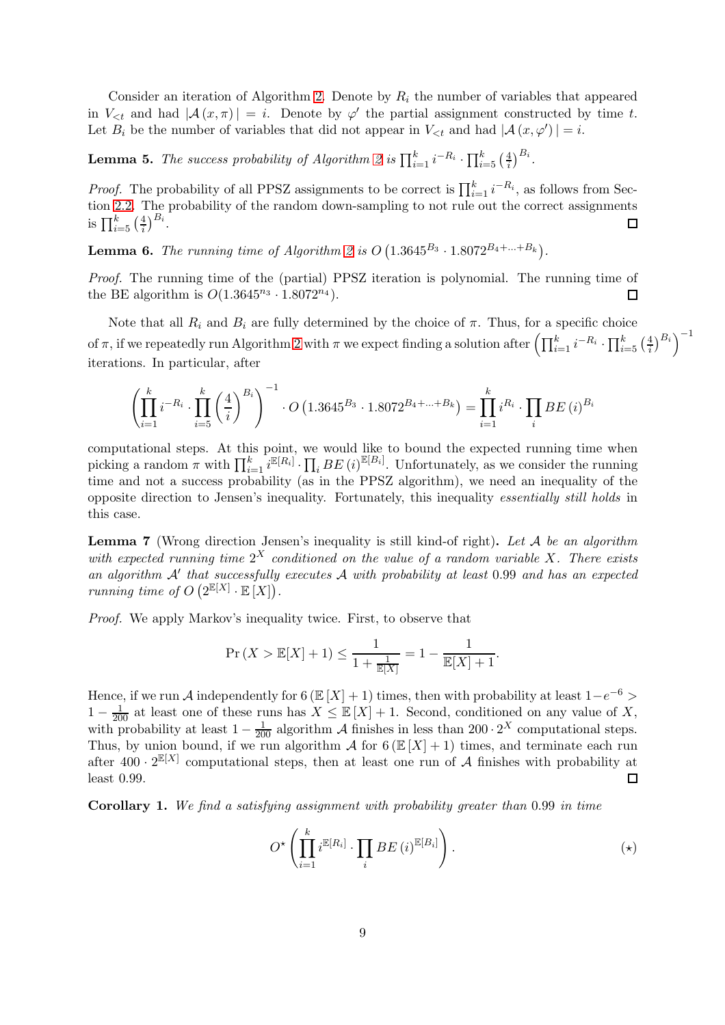Consider an iteration of Algorithm [2.](#page-7-1) Denote by  $R_i$  the number of variables that appeared in  $V_{\leq t}$  and had  $|\mathcal{A}(x,\pi)| = i$ . Denote by  $\varphi'$  the partial assignment constructed by time t. Let  $B_i$  be the number of variables that did not appear in  $V_{\leq t}$  and had  $|\mathcal{A}(x, \varphi')| = i$ .

**Lemma 5.** The success probability of Algorithm [2](#page-7-1) is  $\prod_{i=1}^{k} i^{-R_i} \cdot \prod_{i=5}^{k} \left(\frac{4}{i}\right)^{B_i}$ .

*Proof.* The probability of all PPSZ assignments to be correct is  $\prod_{i=1}^{k} i^{-R_i}$ , as follows from Section [2.2.](#page-4-2) The probability of the random down-sampling to not rule out the correct assignments is  $\prod_{i=5}^{k} \left(\frac{4}{i}\right)^{B_i}$ .  $\Box$ 

**Lemma 6.** The running time of Algorithm [2](#page-7-1) is  $O(1.3645^{B_3} \cdot 1.8072^{B_4 + ... + B_k})$ .

*Proof.* The running time of the (partial) PPSZ iteration is polynomial. The running time of the BE algorithm is  $O(1.3645^{n_3} \cdot 1.8072^{n_4}).$  $\Box$ 

Note that all  $R_i$  and  $B_i$  are fully determined by the choice of  $\pi$ . Thus, for a specific choice of  $\pi$ , if we repeatedly run Algorithm [2](#page-7-1) with  $\pi$  we expect finding a solution after  $\left(\prod_{i=1}^k i^{-R_i} \cdot \prod_{i=5}^k \left(\frac{4}{i}\right)^{B_i}\right)^{-1}$ iterations. In particular, after

$$
\left(\prod_{i=1}^k i^{-R_i} \cdot \prod_{i=5}^k \left(\frac{4}{i}\right)^{B_i}\right)^{-1} \cdot O\left(1.3645^{B_3} \cdot 1.8072^{B_4 + \dots + B_k}\right) = \prod_{i=1}^k i^{R_i} \cdot \prod_i BE\left(i\right)^{B_i}
$$

computational steps. At this point, we would like to bound the expected running time when picking a random  $\pi$  with  $\prod_{i=1}^k i^{\mathbb{E}[R_i]} \cdot \prod_i BE(i)^{\mathbb{E}[B_i]}$ . Unfortunately, as we consider the running time and not a success probability (as in the PPSZ algorithm), we need an inequality of the opposite direction to Jensen's inequality. Fortunately, this inequality *essentially still holds* in this case.

Lemma 7 (Wrong direction Jensen's inequality is still kind-of right). *Let* A *be an algorithm with expected running time* 2 <sup>X</sup> *conditioned on the value of a random variable* X*. There exists an algorithm* A′ *that successfully executes* A *with probability at least* 0.99 *and has an expected running time of*  $O(2^{\mathbb{E}[X]} \cdot \mathbb{E}[X]).$ 

*Proof.* We apply Markov's inequality twice. First, to observe that

$$
\Pr(X > \mathbb{E}[X] + 1) \le \frac{1}{1 + \frac{1}{\mathbb{E}[X]}} = 1 - \frac{1}{\mathbb{E}[X] + 1}.
$$

Hence, if we run A independently for 6 ( $\mathbb{E}[X] + 1$ ) times, then with probability at least  $1-e^{-6}$  $1-\frac{1}{200}$  at least one of these runs has  $X \leq \mathbb{E}[X] + 1$ . Second, conditioned on any value of X, with probability at least  $1 - \frac{1}{200}$  algorithm A finishes in less than  $200 \cdot 2^X$  computational steps. Thus, by union bound, if we run algorithm A for  $6(E[X] + 1)$  times, and terminate each run after  $400 \cdot 2^{\mathbb{E}[X]}$  computational steps, then at least one run of A finishes with probability at least 0.99.  $\Box$ 

Corollary 1. *We find a satisfying assignment with probability greater than* 0.99 *in time*

$$
O^{\star}\left(\prod_{i=1}^{k} i^{\mathbb{E}[R_i]} \cdot \prod_{i} BE\left(i\right)^{\mathbb{E}[B_i]}\right).
$$
 \tag{(\*)}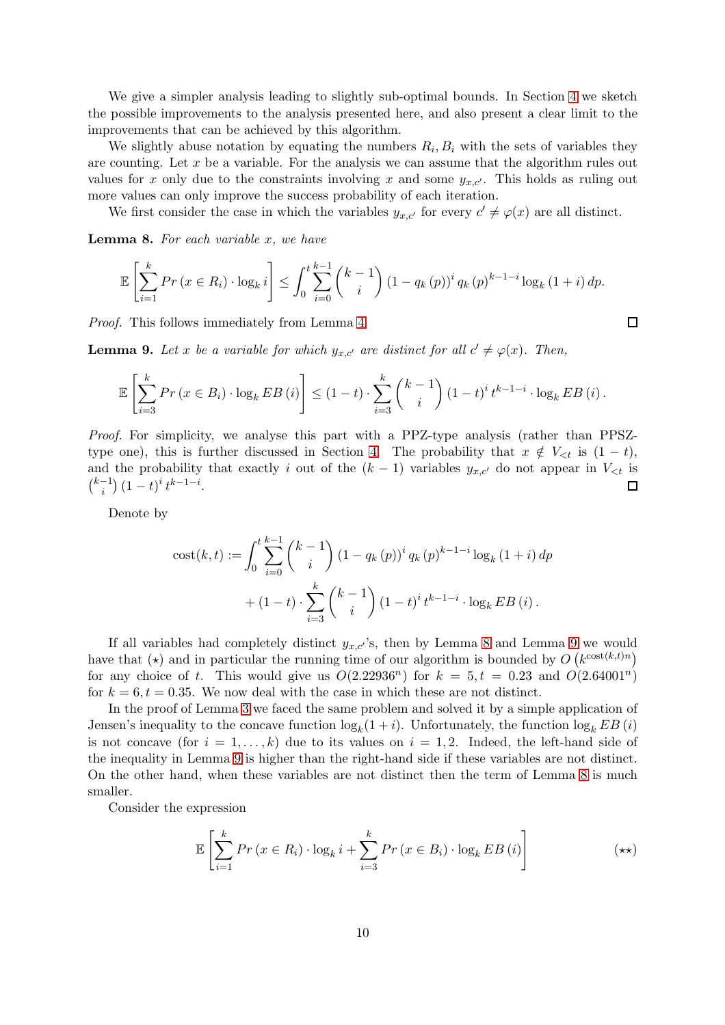We give a simpler analysis leading to slightly sub-optimal bounds. In Section [4](#page-11-0) we sketch the possible improvements to the analysis presented here, and also present a clear limit to the improvements that can be achieved by this algorithm.

We slightly abuse notation by equating the numbers  $R_i, B_i$  with the sets of variables they are counting. Let x be a variable. For the analysis we can assume that the algorithm rules out values for x only due to the constraints involving x and some  $y_{x,c'}$ . This holds as ruling out more values can only improve the success probability of each iteration.

We first consider the case in which the variables  $y_{x,c'}$  for every  $c' \neq \varphi(x)$  are all distinct.

<span id="page-9-0"></span>Lemma 8. *For each variable* x*, we have*

$$
\mathbb{E}\left[\sum_{i=1}^{k} Pr\left(x \in R_{i}\right) \cdot \log_{k} i\right] \leq \int_{0}^{t} \sum_{i=0}^{k-1} {k-1 \choose i} \left(1 - q_{k}\left(p\right)\right)^{i} q_{k}\left(p\right)^{k-1-i} \log_{k} \left(1+i\right) dp.
$$

*Proof.* This follows immediately from Lemma [4.](#page-7-2)

<span id="page-9-1"></span>**Lemma 9.** Let x be a variable for which  $y_{x,c'}$  are distinct for all  $c' \neq \varphi(x)$ . Then,

$$
\mathbb{E}\left[\sum_{i=3}^{k} Pr\left(x \in B_{i}\right) \cdot \log_{k} EB\left(i\right)\right] \leq (1-t) \cdot \sum_{i=3}^{k} {k-1 \choose i} (1-t)^{i} t^{k-1-i} \cdot \log_{k} EB\left(i\right).
$$

*Proof.* For simplicity, we analyse this part with a PPZ-type analysis (rather than PPSZ-type one), this is further discussed in Section [4.](#page-11-0) The probability that  $x \notin V_{\leq t}$  is  $(1-t)$ , and the probability that exactly i out of the  $(k-1)$  variables  $y_{x,c'}$  do not appear in  $V_{\leq t}$  is  $\binom{k-1}{i}$  $\binom{-1}{i} (1-t)^i t^{k-1-i}.$  $\Box$ 

Denote by

cost(k, t) := 
$$
\int_0^t \sum_{i=0}^{k-1} {k-1 \choose i} (1 - q_k(p))^i q_k(p)^{k-1-i} \log_k (1+i) dp
$$

$$
+ (1-t) \cdot \sum_{i=3}^k {k-1 \choose i} (1-t)^i t^{k-1-i} \cdot \log_k EB(i).
$$

If all variables had completely distinct  $y_{x,c}$ 's, then by Lemma [8](#page-9-0) and Lemma [9](#page-9-1) we would have that  $(\star)$  and in particular the running time of our algorithm is bounded by  $O(k^{\cos t(k,t)n})$ for any choice of t. This would give us  $O(2.22936^n)$  for  $k = 5, t = 0.23$  and  $O(2.64001^n)$ for  $k = 6, t = 0.35$ . We now deal with the case in which these are not distinct.

In the proof of Lemma [3](#page-6-0) we faced the same problem and solved it by a simple application of Jensen's inequality to the concave function  $\log_k(1+i)$ . Unfortunately, the function  $\log_k EB(i)$ is not concave (for  $i = 1, \ldots, k$ ) due to its values on  $i = 1, 2$ . Indeed, the left-hand side of the inequality in Lemma [9](#page-9-1) is higher than the right-hand side if these variables are not distinct. On the other hand, when these variables are not distinct then the term of Lemma [8](#page-9-0) is much smaller.

Consider the expression

$$
\mathbb{E}\left[\sum_{i=1}^{k} Pr\left(x \in R_{i}\right) \cdot \log_{k} i + \sum_{i=3}^{k} Pr\left(x \in B_{i}\right) \cdot \log_{k} EB\left(i\right)\right]
$$
\n
$$
\tag{**}
$$

 $\Box$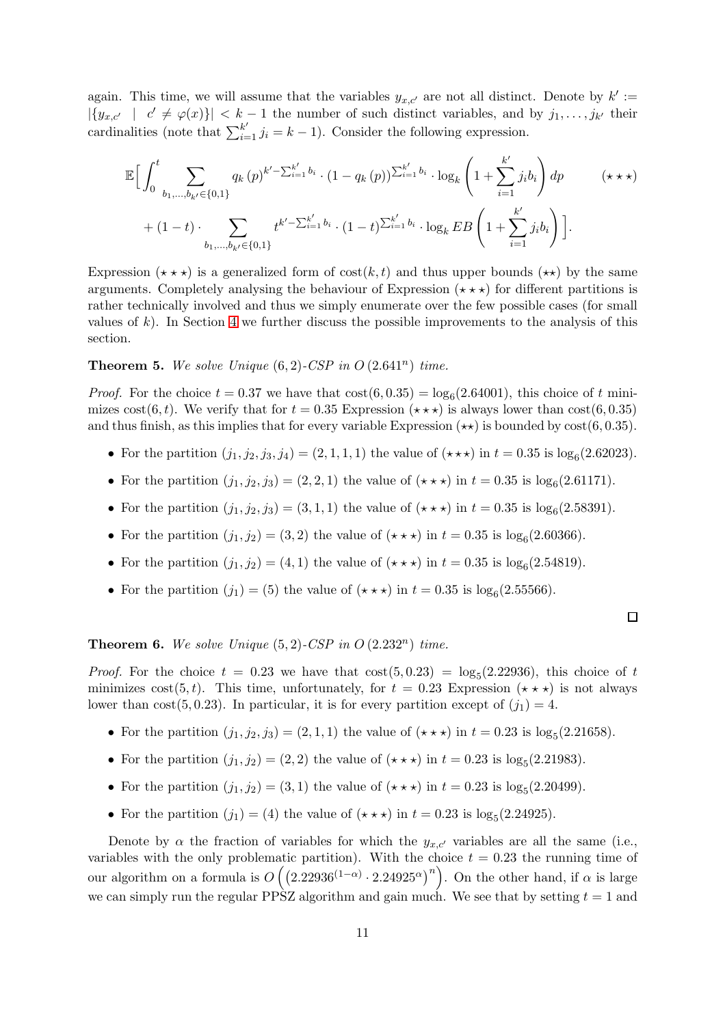again. This time, we will assume that the variables  $y_{x,c'}$  are not all distinct. Denote by  $k' :=$  $|\{y_{x,c'} \mid c' \neq \varphi(x)\}| < k-1$  the number of such distinct variables, and by  $j_1, \ldots, j_{k'}$  their cardinalities (note that  $\sum_{i=1}^{k'} j_i = k - 1$ ). Consider the following expression.

$$
\mathbb{E}\Big[\int_{0}^{t} \sum_{b_1,\dots,b_{k'}\in\{0,1\}} q_k(p)^{k'-\sum_{i=1}^{k'} b_i} \cdot (1-q_k(p))^{\sum_{i=1}^{k'} b_i} \cdot \log_k\left(1+\sum_{i=1}^{k'} j_i b_i\right) dp \qquad (\star \star \star) + (1-t) \cdot \sum_{b_1,\dots,b_{k'}\in\{0,1\}} t^{k'-\sum_{i=1}^{k'} b_i} \cdot (1-t)^{\sum_{i=1}^{k'} b_i} \cdot \log_k EB\left(1+\sum_{i=1}^{k'} j_i b_i\right)\Big].
$$

Expression  $(\star \star \star)$  is a generalized form of  $\text{cost}(k, t)$  and thus upper bounds  $(\star \star)$  by the same arguments. Completely analysing the behaviour of Expression  $(\star \star \star)$  for different partitions is rather technically involved and thus we simply enumerate over the few possible cases (for small values of  $k$ ). In Section [4](#page-11-0) we further discuss the possible improvements to the analysis of this section.

# <span id="page-10-0"></span>**Theorem 5.** We solve Unique  $(6, 2)$ -CSP in  $O(2.641^n)$  time.

*Proof.* For the choice  $t = 0.37$  we have that  $cost(6, 0.35) = log_6(2.64001)$ , this choice of t minimizes cost(6, t). We verify that for  $t = 0.35$  Expression  $(\star \star \star)$  is always lower than cost(6, 0.35) and thus finish, as this implies that for every variable Expression  $(\star \star)$  is bounded by cost(6, 0.35).

- For the partition  $(j_1, j_2, j_3, j_4) = (2, 1, 1, 1)$  the value of  $(\star \star \star)$  in  $t = 0.35$  is log<sub>6</sub>(2.62023).
- For the partition  $(j_1, j_2, j_3) = (2, 2, 1)$  the value of  $(\star \star \star)$  in  $t = 0.35$  is log<sub>6</sub>(2.61171).
- For the partition  $(j_1, j_2, j_3) = (3, 1, 1)$  the value of  $(\star \star \star)$  in  $t = 0.35$  is log<sub>6</sub> $(2.58391)$ .
- For the partition  $(j_1, j_2) = (3, 2)$  the value of  $(\star \star \star)$  in  $t = 0.35$  is log<sub>6</sub>(2.60366).
- For the partition  $(j_1, j_2) = (4, 1)$  the value of  $(\star \star \star)$  in  $t = 0.35$  is log<sub>6</sub>(2.54819).
- For the partition  $(j_1) = (5)$  the value of  $(\star \star \star)$  in  $t = 0.35$  is log<sub>6</sub>(2.55566).

 $\Box$ 

# <span id="page-10-1"></span>**Theorem 6.** We solve Unique  $(5, 2)$ -CSP in  $O(2.232^n)$  time.

*Proof.* For the choice  $t = 0.23$  we have that  $\cos(5, 0.23) = \log_5(2.22936)$ , this choice of t minimizes cost(5, t). This time, unfortunately, for  $t = 0.23$  Expression  $(\star \star \star)$  is not always lower than cost(5,0.23). In particular, it is for every partition except of  $(j_1) = 4$ .

- For the partition  $(j_1, j_2, j_3) = (2, 1, 1)$  the value of  $(\star \star \star)$  in  $t = 0.23$  is log<sub>5</sub> $(2.21658)$ .
- For the partition  $(j_1, j_2) = (2, 2)$  the value of  $(\star \star \star)$  in  $t = 0.23$  is log<sub>5</sub> $(2.21983)$ .
- For the partition  $(j_1, j_2) = (3, 1)$  the value of  $(\star \star \star)$  in  $t = 0.23$  is log<sub>5</sub> $(2.20499)$ .
- For the partition  $(j_1) = (4)$  the value of  $(\star \star \star)$  in  $t = 0.23$  is log<sub>5</sub> $(2.24925)$ .

Denote by  $\alpha$  the fraction of variables for which the  $y_{x,c'}$  variables are all the same (i.e., variables with the only problematic partition). With the choice  $t = 0.23$  the running time of our algorithm on a formula is  $O((2.22936^{(1-\alpha)} \cdot 2.24925^{\alpha})^n)$ . On the other hand, if  $\alpha$  is large we can simply run the regular PPSZ algorithm and gain much. We see that by setting  $t = 1$  and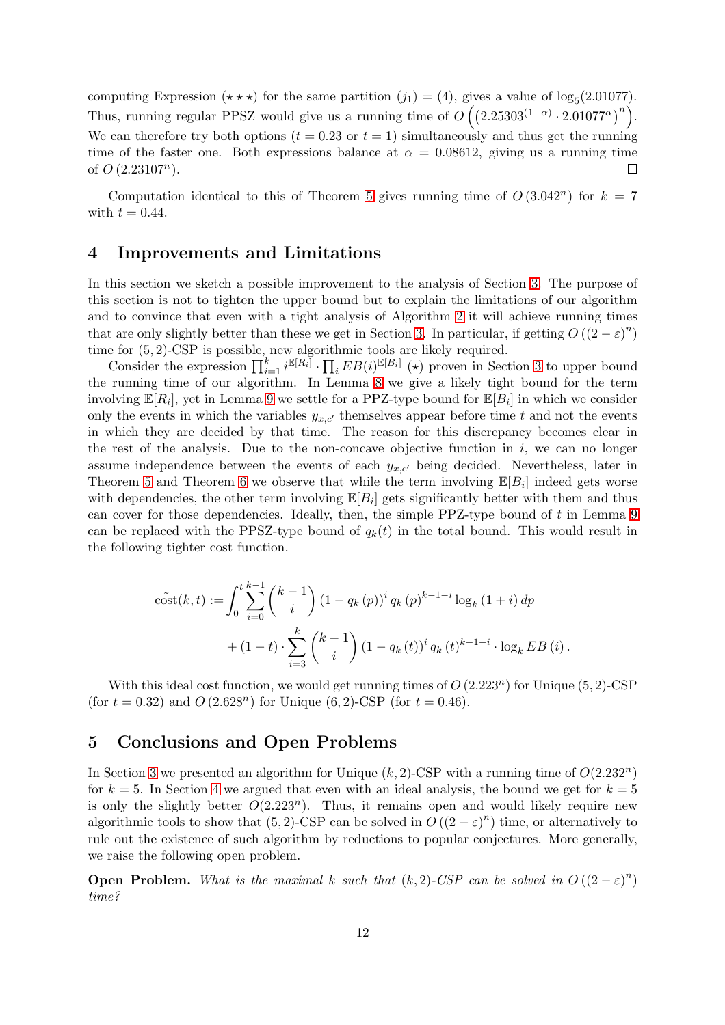computing Expression ( $\star \star \star$ ) for the same partition (j<sub>1</sub>) = (4), gives a value of log<sub>5</sub>(2.01077). Thus, running regular PPSZ would give us a running time of  $O((2.25303^{(1-\alpha)} \cdot 2.01077^{\alpha})^n)$ . We can therefore try both options  $(t = 0.23 \text{ or } t = 1)$  simultaneously and thus get the running time of the faster one. Both expressions balance at  $\alpha = 0.08612$ , giving us a running time of  $O(2.23107^n)$ .  $\Box$ 

Computation identical to this of Theorem [5](#page-10-0) gives running time of  $O(3.042^n)$  for  $k = 7$ with  $t = 0.44$ .

# <span id="page-11-0"></span>4 Improvements and Limitations

In this section we sketch a possible improvement to the analysis of Section [3.](#page-7-0) The purpose of this section is not to tighten the upper bound but to explain the limitations of our algorithm and to convince that even with a tight analysis of Algorithm [2](#page-7-1) it will achieve running times that are only slightly better than these we get in Section [3.](#page-7-0) In particular, if getting  $O((2-\varepsilon)^n)$ time for (5, 2)-CSP is possible, new algorithmic tools are likely required.

Consider the expression  $\prod_{i=1}^k i^{\mathbb{E}[R_i]} \cdot \prod_i EB(i)^{\mathbb{E}[B_i]}$  (\*) proven in Section [3](#page-7-0) to upper bound the running time of our algorithm. In Lemma [8](#page-9-0) we give a likely tight bound for the term involving  $\mathbb{E}[R_i]$ , yet in Lemma [9](#page-9-1) we settle for a PPZ-type bound for  $\mathbb{E}[B_i]$  in which we consider only the events in which the variables  $y_{x,c'}$  themselves appear before time t and not the events in which they are decided by that time. The reason for this discrepancy becomes clear in the rest of the analysis. Due to the non-concave objective function in  $i$ , we can no longer assume independence between the events of each  $y_{x,c'}$  being decided. Nevertheless, later in Theorem [5](#page-10-0) and Theorem [6](#page-10-1) we observe that while the term involving  $\mathbb{E}[B_i]$  indeed gets worse with dependencies, the other term involving  $\mathbb{E}[B_i]$  gets significantly better with them and thus can cover for those dependencies. Ideally, then, the simple PPZ-type bound of  $t$  in Lemma [9](#page-9-1) can be replaced with the PPSZ-type bound of  $q_k(t)$  in the total bound. This would result in the following tighter cost function.

$$
\tilde{\text{cost}}(k,t) := \int_0^t \sum_{i=0}^{k-1} \binom{k-1}{i} (1 - q_k(p))^i q_k(p)^{k-1-i} \log_k (1+i) dp
$$
  
+ 
$$
(1-t) \cdot \sum_{i=3}^k \binom{k-1}{i} (1 - q_k(t))^i q_k(t)^{k-1-i} \cdot \log_k EB(i).
$$

With this ideal cost function, we would get running times of  $O(2.223^n)$  for Unique  $(5, 2)$ -CSP (for  $t = 0.32$ ) and  $O(2.628<sup>n</sup>)$  for Unique  $(6, 2)$ -CSP (for  $t = 0.46$ ).

# <span id="page-11-1"></span>5 Conclusions and Open Problems

In Section [3](#page-7-0) we presented an algorithm for Unique  $(k, 2)$ -CSP with a running time of  $O(2.232<sup>n</sup>)$ for  $k = 5$ . In Section [4](#page-11-0) we argued that even with an ideal analysis, the bound we get for  $k = 5$ is only the slightly better  $O(2.223^n)$ . Thus, it remains open and would likely require new algorithmic tools to show that  $(5,2)$ -CSP can be solved in  $O((2-\varepsilon)^n)$  time, or alternatively to rule out the existence of such algorithm by reductions to popular conjectures. More generally, we raise the following open problem.

**Open Problem.** What is the maximal k such that  $(k, 2)$ -CSP can be solved in  $O((2 - \varepsilon)^n)$ *time?*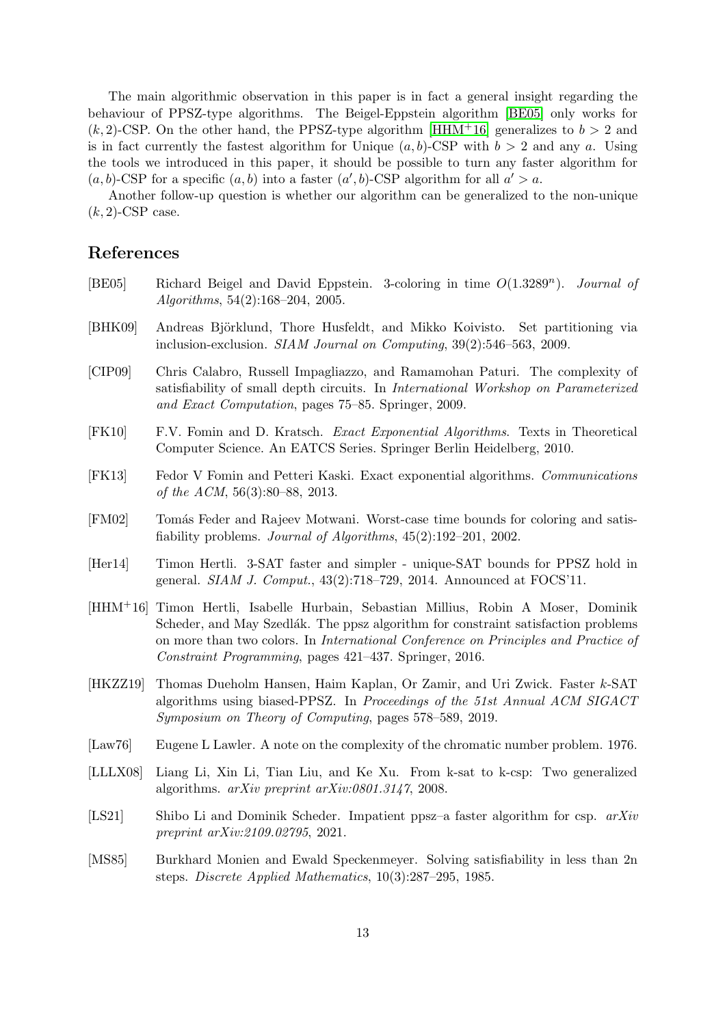The main algorithmic observation in this paper is in fact a general insight regarding the behaviour of PPSZ-type algorithms. The Beigel-Eppstein algorithm [\[BE05\]](#page-12-8) only works for  $(k, 2)$ -CSP. On the other hand, the PPSZ-type algorithm [\[HHM](#page-12-10)<sup>+</sup>16] generalizes to  $b > 2$  and is in fact currently the fastest algorithm for Unique  $(a, b)$ -CSP with  $b > 2$  and any a. Using the tools we introduced in this paper, it should be possible to turn any faster algorithm for  $(a, b)$ -CSP for a specific  $(a, b)$  into a faster  $(a', b)$ -CSP algorithm for all  $a' > a$ .

Another follow-up question is whether our algorithm can be generalized to the non-unique  $(k, 2)$ -CSP case.

# References

- <span id="page-12-8"></span>[BE05] Richard Beigel and David Eppstein. 3-coloring in time  $O(1.3289<sup>n</sup>)$ . *Journal of Algorithms*, 54(2):168–204, 2005.
- <span id="page-12-7"></span>[BHK09] Andreas Björklund, Thore Husfeldt, and Mikko Koivisto. Set partitioning via inclusion-exclusion. *SIAM Journal on Computing*, 39(2):546–563, 2009.
- <span id="page-12-2"></span>[CIP09] Chris Calabro, Russell Impagliazzo, and Ramamohan Paturi. The complexity of satisfiability of small depth circuits. In *International Workshop on Parameterized and Exact Computation*, pages 75–85. Springer, 2009.
- <span id="page-12-1"></span>[FK10] F.V. Fomin and D. Kratsch. *Exact Exponential Algorithms*. Texts in Theoretical Computer Science. An EATCS Series. Springer Berlin Heidelberg, 2010.
- <span id="page-12-0"></span>[FK13] Fedor V Fomin and Petteri Kaski. Exact exponential algorithms. *Communications of the ACM*, 56(3):80–88, 2013.
- <span id="page-12-9"></span>[FM02] Tomás Feder and Rajeev Motwani. Worst-case time bounds for coloring and satisfiability problems. *Journal of Algorithms*, 45(2):192–201, 2002.
- <span id="page-12-5"></span>[Her14] Timon Hertli. 3-SAT faster and simpler - unique-SAT bounds for PPSZ hold in general. *SIAM J. Comput.*, 43(2):718–729, 2014. Announced at FOCS'11.
- <span id="page-12-10"></span>[HHM+16] Timon Hertli, Isabelle Hurbain, Sebastian Millius, Robin A Moser, Dominik Scheder, and May Szedlák. The ppsz algorithm for constraint satisfaction problems on more than two colors. In *International Conference on Principles and Practice of Constraint Programming*, pages 421–437. Springer, 2016.
- <span id="page-12-4"></span>[HKZZ19] Thomas Dueholm Hansen, Haim Kaplan, Or Zamir, and Uri Zwick. Faster k-SAT algorithms using biased-PPSZ. In *Proceedings of the 51st Annual ACM SIGACT Symposium on Theory of Computing*, pages 578–589, 2019.
- <span id="page-12-6"></span>[Law76] Eugene L Lawler. A note on the complexity of the chromatic number problem. 1976.
- <span id="page-12-11"></span>[LLLX08] Liang Li, Xin Li, Tian Liu, and Ke Xu. From k-sat to k-csp: Two generalized algorithms. *arXiv preprint arXiv:0801.3147*, 2008.
- <span id="page-12-12"></span>[LS21] Shibo Li and Dominik Scheder. Impatient ppsz–a faster algorithm for csp. *arXiv preprint arXiv:2109.02795*, 2021.
- <span id="page-12-3"></span>[MS85] Burkhard Monien and Ewald Speckenmeyer. Solving satisfiability in less than 2n steps. *Discrete Applied Mathematics*, 10(3):287–295, 1985.